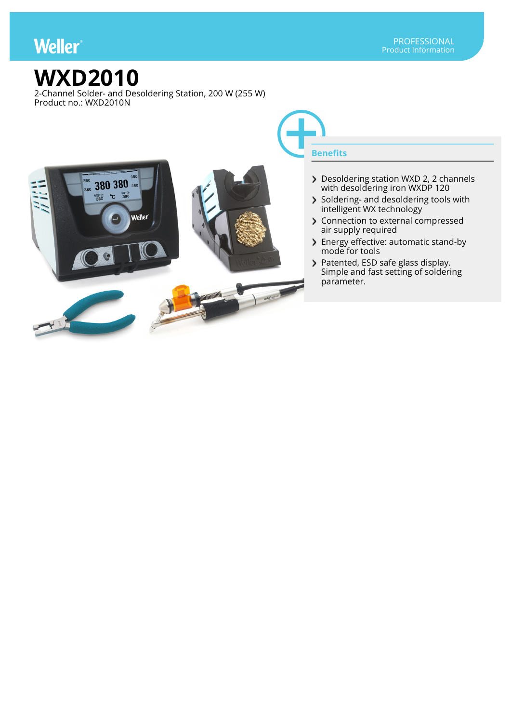## **Weller**

## **WXD2010**

2-Channel Solder- and Desoldering Station, 200 W (255 W) Product no.: WXD2010N



- Desoldering station WXD 2, 2 channels with desoldering iron WXDP 120
- Soldering- and desoldering tools with intelligent WX technology
- > Connection to external compressed air supply required
- > Energy effective: automatic stand-by mode for tools
- Patented, ESD safe glass display. Simple and fast setting of soldering parameter.